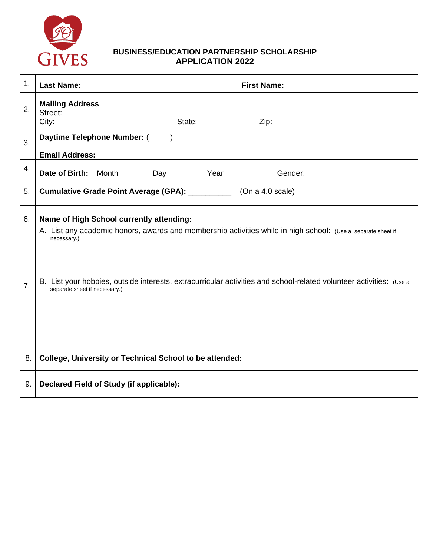

# **BUSINESS/EDUCATION PARTNERSHIP SCHOLARSHIP APPLICATION 2022**

| 1.               | <b>Last Name:</b>                                                                                                                                                                                                                                                                   | <b>First Name:</b> |
|------------------|-------------------------------------------------------------------------------------------------------------------------------------------------------------------------------------------------------------------------------------------------------------------------------------|--------------------|
| 2.               | <b>Mailing Address</b><br>Street:<br>City:<br>State:                                                                                                                                                                                                                                | Zip:               |
| 3.               | Daytime Telephone Number: (<br><b>Email Address:</b>                                                                                                                                                                                                                                |                    |
| 4.               | Date of Birth:<br>Month<br>Year<br>Day                                                                                                                                                                                                                                              | Gender:            |
| 5.               | Cumulative Grade Point Average (GPA): _____________ (On a 4.0 scale)                                                                                                                                                                                                                |                    |
| 6.               | Name of High School currently attending:                                                                                                                                                                                                                                            |                    |
| $\overline{7}$ . | A. List any academic honors, awards and membership activities while in high school: (Use a separate sheet if<br>necessary.)<br>B. List your hobbies, outside interests, extracurricular activities and school-related volunteer activities: (Use a<br>separate sheet if necessary.) |                    |
| 8.               | <b>College, University or Technical School to be attended:</b>                                                                                                                                                                                                                      |                    |
| 9.               | Declared Field of Study (if applicable):                                                                                                                                                                                                                                            |                    |